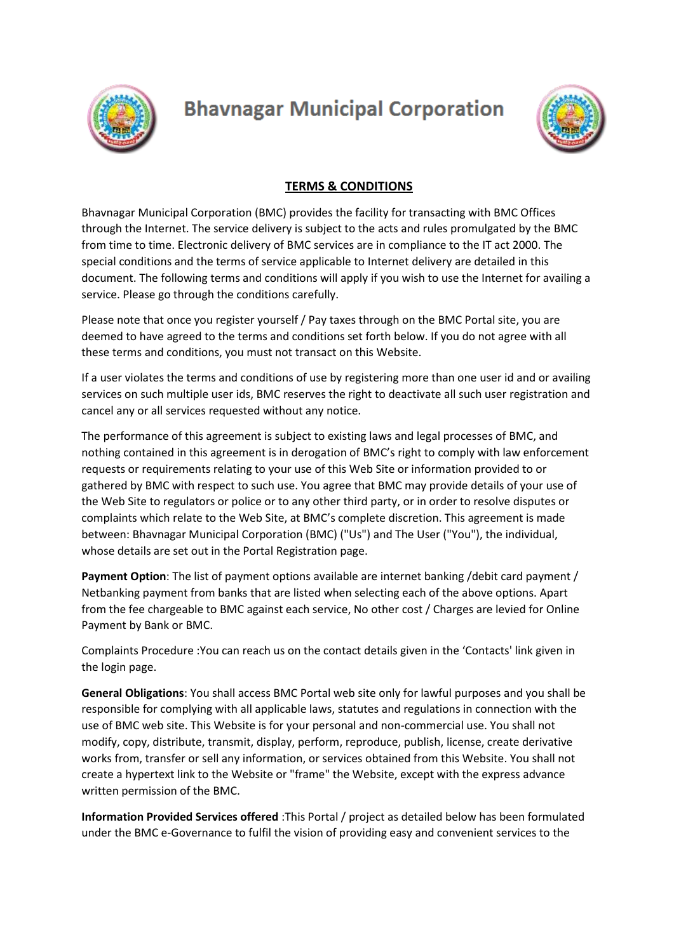

## **Bhavnagar Municipal Corporation**



## **TERMS & CONDITIONS**

Bhavnagar Municipal Corporation (BMC) provides the facility for transacting with BMC Offices through the Internet. The service delivery is subject to the acts and rules promulgated by the BMC from time to time. Electronic delivery of BMC services are in compliance to the IT act 2000. The special conditions and the terms of service applicable to Internet delivery are detailed in this document. The following terms and conditions will apply if you wish to use the Internet for availing a service. Please go through the conditions carefully.

Please note that once you register yourself / Pay taxes through on the BMC Portal site, you are deemed to have agreed to the terms and conditions set forth below. If you do not agree with all these terms and conditions, you must not transact on this Website.

If a user violates the terms and conditions of use by registering more than one user id and or availing services on such multiple user ids, BMC reserves the right to deactivate all such user registration and cancel any or all services requested without any notice.

The performance of this agreement is subject to existing laws and legal processes of BMC, and nothing contained in this agreement is in derogation of BMC's right to comply with law enforcement requests or requirements relating to your use of this Web Site or information provided to or gathered by BMC with respect to such use. You agree that BMC may provide details of your use of the Web Site to regulators or police or to any other third party, or in order to resolve disputes or complaints which relate to the Web Site, at BMC's complete discretion. This agreement is made between: Bhavnagar Municipal Corporation (BMC) ("Us") and The User ("You"), the individual, whose details are set out in the Portal Registration page.

**Payment Option**: The list of payment options available are internet banking /debit card payment / Netbanking payment from banks that are listed when selecting each of the above options. Apart from the fee chargeable to BMC against each service, No other cost / Charges are levied for Online Payment by Bank or BMC.

Complaints Procedure :You can reach us on the contact details given in the 'Contacts' link given in the login page.

**General Obligations**: You shall access BMC Portal web site only for lawful purposes and you shall be responsible for complying with all applicable laws, statutes and regulations in connection with the use of BMC web site. This Website is for your personal and non-commercial use. You shall not modify, copy, distribute, transmit, display, perform, reproduce, publish, license, create derivative works from, transfer or sell any information, or services obtained from this Website. You shall not create a hypertext link to the Website or "frame" the Website, except with the express advance written permission of the BMC.

**Information Provided Services offered** :This Portal / project as detailed below has been formulated under the BMC e-Governance to fulfil the vision of providing easy and convenient services to the